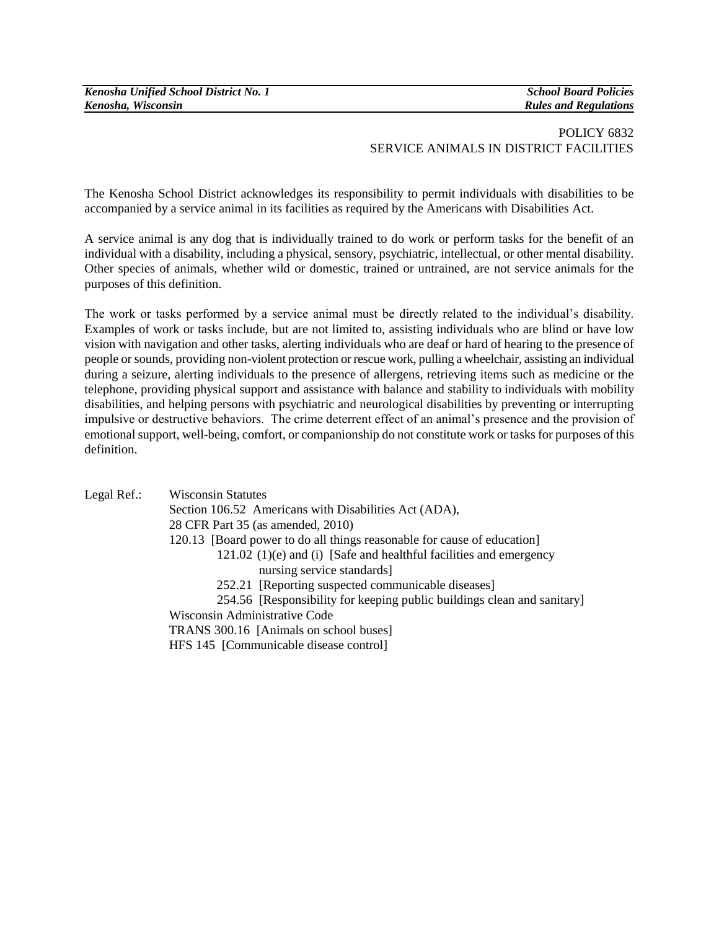## POLICY 6832 SERVICE ANIMALS IN DISTRICT FACILITIES

The Kenosha School District acknowledges its responsibility to permit individuals with disabilities to be accompanied by a service animal in its facilities as required by the Americans with Disabilities Act.

A service animal is any dog that is individually trained to do work or perform tasks for the benefit of an individual with a disability, including a physical, sensory, psychiatric, intellectual, or other mental disability. Other species of animals, whether wild or domestic, trained or untrained, are not service animals for the purposes of this definition.

The work or tasks performed by a service animal must be directly related to the individual's disability. Examples of work or tasks include, but are not limited to, assisting individuals who are blind or have low vision with navigation and other tasks, alerting individuals who are deaf or hard of hearing to the presence of people or sounds, providing non-violent protection or rescue work, pulling a wheelchair, assisting an individual during a seizure, alerting individuals to the presence of allergens, retrieving items such as medicine or the telephone, providing physical support and assistance with balance and stability to individuals with mobility disabilities, and helping persons with psychiatric and neurological disabilities by preventing or interrupting impulsive or destructive behaviors. The crime deterrent effect of an animal's presence and the provision of emotional support, well-being, comfort, or companionship do not constitute work or tasks for purposes of this definition.

Legal Ref.: Wisconsin Statutes Section 106.52 Americans with Disabilities Act (ADA), 28 CFR Part 35 (as amended, 2010) 120.13 [Board power to do all things reasonable for cause of education] 121.02 (1)(e) and (i) [Safe and healthful facilities and emergency nursing service standards] 252.21 [Reporting suspected communicable diseases] 254.56 [Responsibility for keeping public buildings clean and sanitary] Wisconsin Administrative Code TRANS 300.16 [Animals on school buses] HFS 145 [Communicable disease control]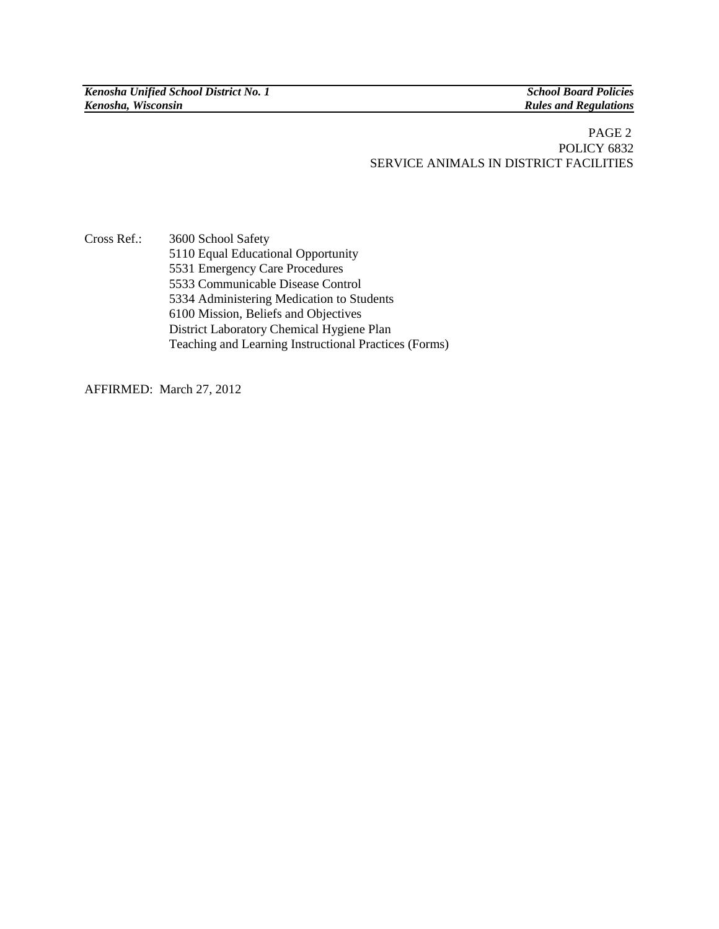*Kenosha Unified School District No. 1 School Board Policies*

**Rules and Regulations** 

## PAGE 2 POLICY 6832 SERVICE ANIMALS IN DISTRICT FACILITIES

Cross Ref.: 3600 School Safety 5110 Equal Educational Opportunity 5531 Emergency Care Procedures 5533 Communicable Disease Control 5334 Administering Medication to Students 6100 Mission, Beliefs and Objectives District Laboratory Chemical Hygiene Plan Teaching and Learning Instructional Practices (Forms)

AFFIRMED: March 27, 2012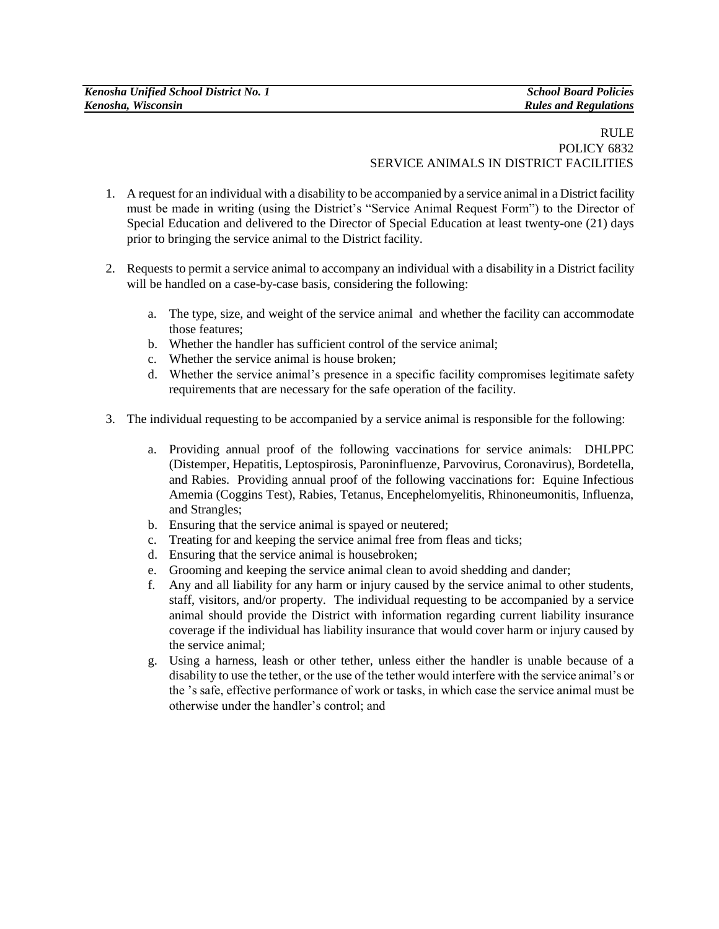## RULE POLICY 6832 SERVICE ANIMALS IN DISTRICT FACILITIES

- 1. A request for an individual with a disability to be accompanied by a service animal in a District facility must be made in writing (using the District's "Service Animal Request Form") to the Director of Special Education and delivered to the Director of Special Education at least twenty-one (21) days prior to bringing the service animal to the District facility.
- 2. Requests to permit a service animal to accompany an individual with a disability in a District facility will be handled on a case-by-case basis, considering the following:
	- a. The type, size, and weight of the service animal and whether the facility can accommodate those features;
	- b. Whether the handler has sufficient control of the service animal;
	- c. Whether the service animal is house broken;
	- d. Whether the service animal's presence in a specific facility compromises legitimate safety requirements that are necessary for the safe operation of the facility.
- 3. The individual requesting to be accompanied by a service animal is responsible for the following:
	- a. Providing annual proof of the following vaccinations for service animals: DHLPPC (Distemper, Hepatitis, Leptospirosis, Paroninfluenze, Parvovirus, Coronavirus), Bordetella, and Rabies. Providing annual proof of the following vaccinations for: Equine Infectious Amemia (Coggins Test), Rabies, Tetanus, Encephelomyelitis, Rhinoneumonitis, Influenza, and Strangles;
	- b. Ensuring that the service animal is spayed or neutered;
	- c. Treating for and keeping the service animal free from fleas and ticks;
	- d. Ensuring that the service animal is housebroken;
	- e. Grooming and keeping the service animal clean to avoid shedding and dander;
	- f. Any and all liability for any harm or injury caused by the service animal to other students, staff, visitors, and/or property. The individual requesting to be accompanied by a service animal should provide the District with information regarding current liability insurance coverage if the individual has liability insurance that would cover harm or injury caused by the service animal;
	- g. Using a harness, leash or other tether, unless either the handler is unable because of a disability to use the tether, or the use of the tether would interfere with the service animal's or the 's safe, effective performance of work or tasks, in which case the service animal must be otherwise under the handler's control; and